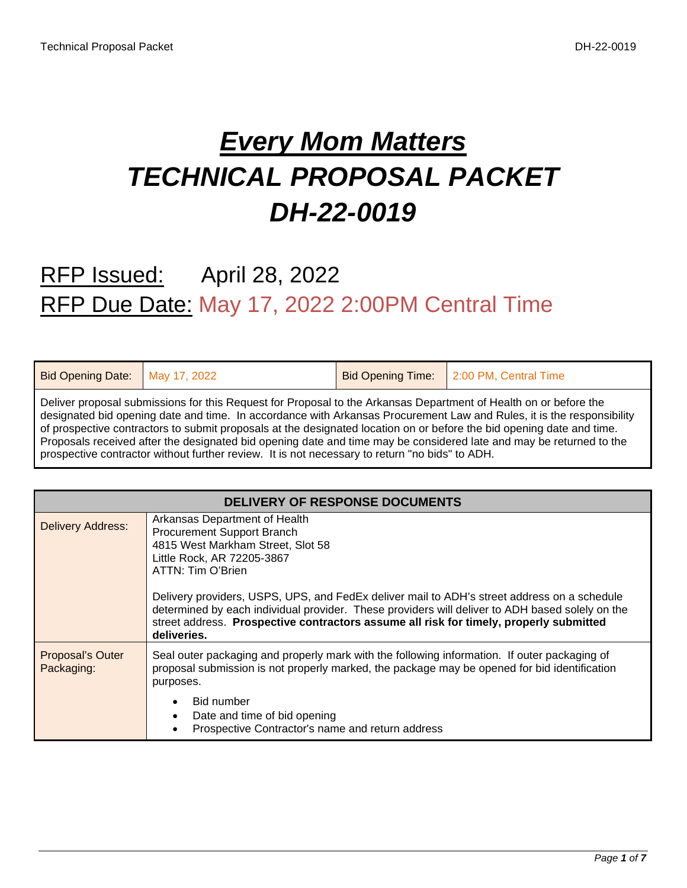# *Every Mom Matters TECHNICAL PROPOSAL PACKET DH-22-0019*

## RFP Issued: April 28, 2022 RFP Due Date: May 17, 2022 2:00PM Central Time

| Bid Opening Date: May 17, 2022 |                                                                                                                                                                                                                                                                                                                                                                                                                                                                                                                                                                                             | Bid Opening Time: 2:00 PM, Central Time |
|--------------------------------|---------------------------------------------------------------------------------------------------------------------------------------------------------------------------------------------------------------------------------------------------------------------------------------------------------------------------------------------------------------------------------------------------------------------------------------------------------------------------------------------------------------------------------------------------------------------------------------------|-----------------------------------------|
|                                | Deliver proposal submissions for this Request for Proposal to the Arkansas Department of Health on or before the<br>designated bid opening date and time. In accordance with Arkansas Procurement Law and Rules, it is the responsibility<br>of prospective contractors to submit proposals at the designated location on or before the bid opening date and time.<br>Proposals received after the designated bid opening date and time may be considered late and may be returned to the<br>prospective contractor without further review. It is not necessary to return "no bids" to ADH. |                                         |

| <b>DELIVERY OF RESPONSE DOCUMENTS</b> |                                                                                                                                                                                                                                                                                                                                                                                                                                                                |  |  |  |  |  |
|---------------------------------------|----------------------------------------------------------------------------------------------------------------------------------------------------------------------------------------------------------------------------------------------------------------------------------------------------------------------------------------------------------------------------------------------------------------------------------------------------------------|--|--|--|--|--|
| <b>Delivery Address:</b>              | Arkansas Department of Health<br>Procurement Support Branch<br>4815 West Markham Street, Slot 58<br>Little Rock, AR 72205-3867<br>ATTN: Tim O'Brien<br>Delivery providers, USPS, UPS, and FedEx deliver mail to ADH's street address on a schedule<br>determined by each individual provider. These providers will deliver to ADH based solely on the<br>street address. Prospective contractors assume all risk for timely, properly submitted<br>deliveries. |  |  |  |  |  |
| Proposal's Outer<br>Packaging:        | Seal outer packaging and properly mark with the following information. If outer packaging of<br>proposal submission is not properly marked, the package may be opened for bid identification<br>purposes.<br>Bid number<br>Date and time of bid opening<br>Prospective Contractor's name and return address                                                                                                                                                    |  |  |  |  |  |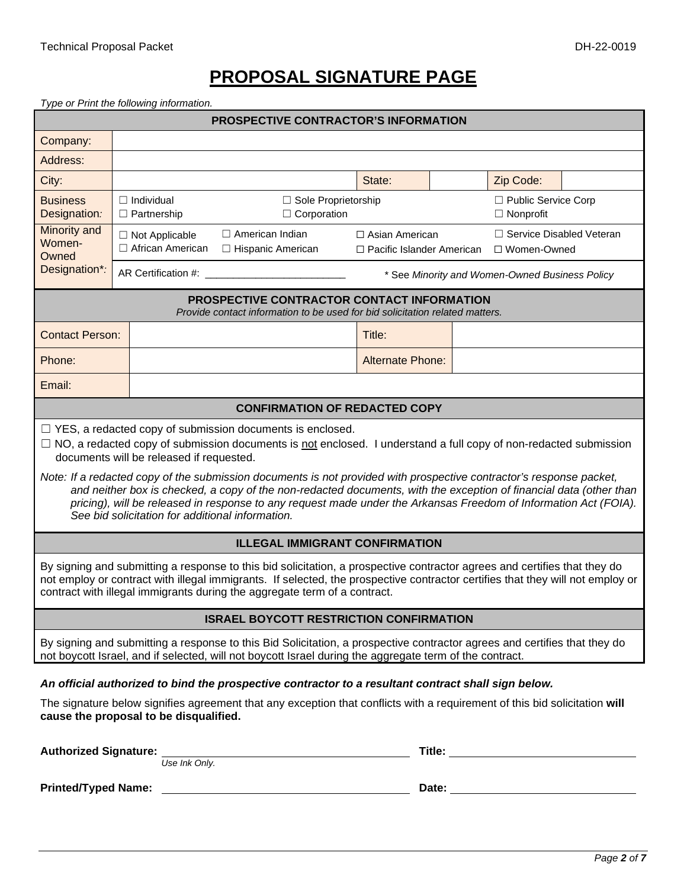## **PROPOSAL SIGNATURE PAGE**

*Type or Print the following information.*

| <b>PROSPECTIVE CONTRACTOR'S INFORMATION</b>                                                                                                                                                                                                                                                                                                                                                                                                                                                                                                                                                                                                                  |                                             |                                                                                                                            |                                                           |  |                                                |                                             |  |
|--------------------------------------------------------------------------------------------------------------------------------------------------------------------------------------------------------------------------------------------------------------------------------------------------------------------------------------------------------------------------------------------------------------------------------------------------------------------------------------------------------------------------------------------------------------------------------------------------------------------------------------------------------------|---------------------------------------------|----------------------------------------------------------------------------------------------------------------------------|-----------------------------------------------------------|--|------------------------------------------------|---------------------------------------------|--|
| Company:                                                                                                                                                                                                                                                                                                                                                                                                                                                                                                                                                                                                                                                     |                                             |                                                                                                                            |                                                           |  |                                                |                                             |  |
| Address:                                                                                                                                                                                                                                                                                                                                                                                                                                                                                                                                                                                                                                                     |                                             |                                                                                                                            |                                                           |  |                                                |                                             |  |
| City:                                                                                                                                                                                                                                                                                                                                                                                                                                                                                                                                                                                                                                                        |                                             |                                                                                                                            | State:                                                    |  | Zip Code:                                      |                                             |  |
| <b>Business</b><br>Designation:                                                                                                                                                                                                                                                                                                                                                                                                                                                                                                                                                                                                                              | $\Box$ Individual<br>$\Box$ Partnership     | □ Sole Proprietorship<br>$\Box$ Corporation                                                                                |                                                           |  | $\Box$ Nonprofit                               | □ Public Service Corp                       |  |
| Minority and<br>Women-<br>Owned                                                                                                                                                                                                                                                                                                                                                                                                                                                                                                                                                                                                                              | $\Box$ Not Applicable<br>□ African American | $\Box$ American Indian<br>□ Hispanic American                                                                              | $\Box$ Asian American<br>$\Box$ Pacific Islander American |  |                                                | □ Service Disabled Veteran<br>□ Women-Owned |  |
| Designation*:                                                                                                                                                                                                                                                                                                                                                                                                                                                                                                                                                                                                                                                | AR Certification #:                         |                                                                                                                            |                                                           |  | * See Minority and Women-Owned Business Policy |                                             |  |
|                                                                                                                                                                                                                                                                                                                                                                                                                                                                                                                                                                                                                                                              |                                             | PROSPECTIVE CONTRACTOR CONTACT INFORMATION<br>Provide contact information to be used for bid solicitation related matters. |                                                           |  |                                                |                                             |  |
| <b>Contact Person:</b>                                                                                                                                                                                                                                                                                                                                                                                                                                                                                                                                                                                                                                       |                                             |                                                                                                                            | Title:                                                    |  |                                                |                                             |  |
| Phone:                                                                                                                                                                                                                                                                                                                                                                                                                                                                                                                                                                                                                                                       |                                             |                                                                                                                            | <b>Alternate Phone:</b>                                   |  |                                                |                                             |  |
| Email:                                                                                                                                                                                                                                                                                                                                                                                                                                                                                                                                                                                                                                                       |                                             |                                                                                                                            |                                                           |  |                                                |                                             |  |
|                                                                                                                                                                                                                                                                                                                                                                                                                                                                                                                                                                                                                                                              |                                             | <b>CONFIRMATION OF REDACTED COPY</b>                                                                                       |                                                           |  |                                                |                                             |  |
| $\Box$ YES, a redacted copy of submission documents is enclosed.<br>$\Box$ NO, a redacted copy of submission documents is not enclosed. I understand a full copy of non-redacted submission<br>documents will be released if requested.<br>Note: If a redacted copy of the submission documents is not provided with prospective contractor's response packet,<br>and neither box is checked, a copy of the non-redacted documents, with the exception of financial data (other than<br>pricing), will be released in response to any request made under the Arkansas Freedom of Information Act (FOIA).<br>See bid solicitation for additional information. |                                             |                                                                                                                            |                                                           |  |                                                |                                             |  |
| <b>ILLEGAL IMMIGRANT CONFIRMATION</b>                                                                                                                                                                                                                                                                                                                                                                                                                                                                                                                                                                                                                        |                                             |                                                                                                                            |                                                           |  |                                                |                                             |  |
| By signing and submitting a response to this bid solicitation, a prospective contractor agrees and certifies that they do<br>not employ or contract with illegal immigrants. If selected, the prospective contractor certifies that they will not employ or<br>contract with illegal immigrants during the aggregate term of a contract.                                                                                                                                                                                                                                                                                                                     |                                             |                                                                                                                            |                                                           |  |                                                |                                             |  |
| <b>ISRAEL BOYCOTT RESTRICTION CONFIRMATION</b>                                                                                                                                                                                                                                                                                                                                                                                                                                                                                                                                                                                                               |                                             |                                                                                                                            |                                                           |  |                                                |                                             |  |
| By signing and submitting a response to this Bid Solicitation, a prospective contractor agrees and certifies that they do<br>not boycott Israel, and if selected, will not boycott Israel during the aggregate term of the contract.                                                                                                                                                                                                                                                                                                                                                                                                                         |                                             |                                                                                                                            |                                                           |  |                                                |                                             |  |
| An official authorized to bind the prospective contractor to a resultant contract shall sign below.                                                                                                                                                                                                                                                                                                                                                                                                                                                                                                                                                          |                                             |                                                                                                                            |                                                           |  |                                                |                                             |  |
| The signature below signifies agreement that any exception that conflicts with a requirement of this bid solicitation will<br>cause the proposal to be disqualified.                                                                                                                                                                                                                                                                                                                                                                                                                                                                                         |                                             |                                                                                                                            |                                                           |  |                                                |                                             |  |
|                                                                                                                                                                                                                                                                                                                                                                                                                                                                                                                                                                                                                                                              | Authorized Signature: Use Ink Only.         |                                                                                                                            |                                                           |  |                                                |                                             |  |
|                                                                                                                                                                                                                                                                                                                                                                                                                                                                                                                                                                                                                                                              |                                             |                                                                                                                            |                                                           |  |                                                |                                             |  |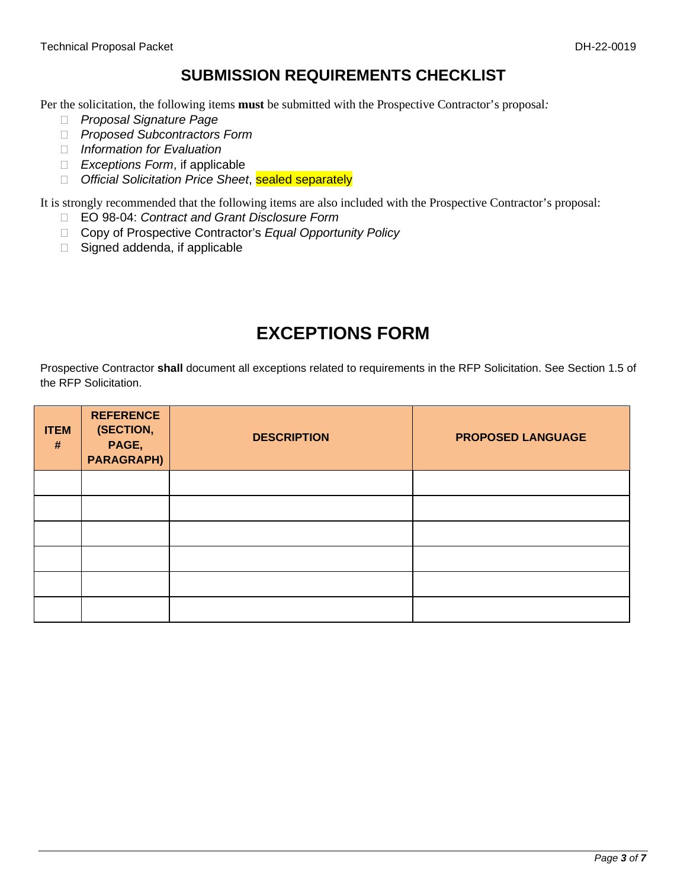#### **SUBMISSION REQUIREMENTS CHECKLIST**

Per the solicitation, the following items **must** be submitted with the Prospective Contractor's proposal*:*

- *Proposal Signature Page*
- *Proposed Subcontractors Form*
- *Information for Evaluation*
- *Exceptions Form*, if applicable
- *Official Solicitation Price Sheet*, sealed separately

It is strongly recommended that the following items are also included with the Prospective Contractor's proposal:

- EO 98-04: *Contract and Grant Disclosure Form*
- □ Copy of Prospective Contractor's *Equal Opportunity Policy*
- $\Box$  Signed addenda, if applicable

#### **EXCEPTIONS FORM**

Prospective Contractor **shall** document all exceptions related to requirements in the RFP Solicitation. See Section 1.5 of the RFP Solicitation.

| <b>ITEM</b><br># | <b>REFERENCE</b><br>(SECTION,<br>PAGE,<br><b>PARAGRAPH)</b> | <b>DESCRIPTION</b> | <b>PROPOSED LANGUAGE</b> |
|------------------|-------------------------------------------------------------|--------------------|--------------------------|
|                  |                                                             |                    |                          |
|                  |                                                             |                    |                          |
|                  |                                                             |                    |                          |
|                  |                                                             |                    |                          |
|                  |                                                             |                    |                          |
|                  |                                                             |                    |                          |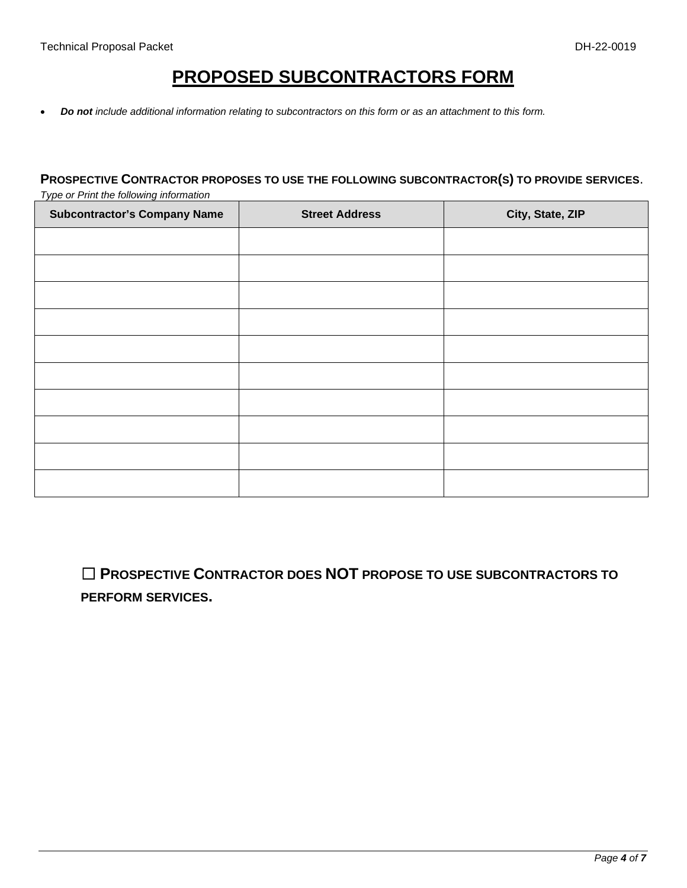#### **PROPOSED SUBCONTRACTORS FORM**

• *Do not include additional information relating to subcontractors on this form or as an attachment to this form.* 

#### **PROSPECTIVE CONTRACTOR PROPOSES TO USE THE FOLLOWING SUBCONTRACTOR(S) TO PROVIDE SERVICES**. *Type or Print the following information*

| <b>Subcontractor's Company Name</b> | <b>Street Address</b> | City, State, ZIP |
|-------------------------------------|-----------------------|------------------|
|                                     |                       |                  |
|                                     |                       |                  |
|                                     |                       |                  |
|                                     |                       |                  |
|                                     |                       |                  |
|                                     |                       |                  |
|                                     |                       |                  |
|                                     |                       |                  |
|                                     |                       |                  |
|                                     |                       |                  |

☐ **PROSPECTIVE CONTRACTOR DOES NOT PROPOSE TO USE SUBCONTRACTORS TO PERFORM SERVICES.**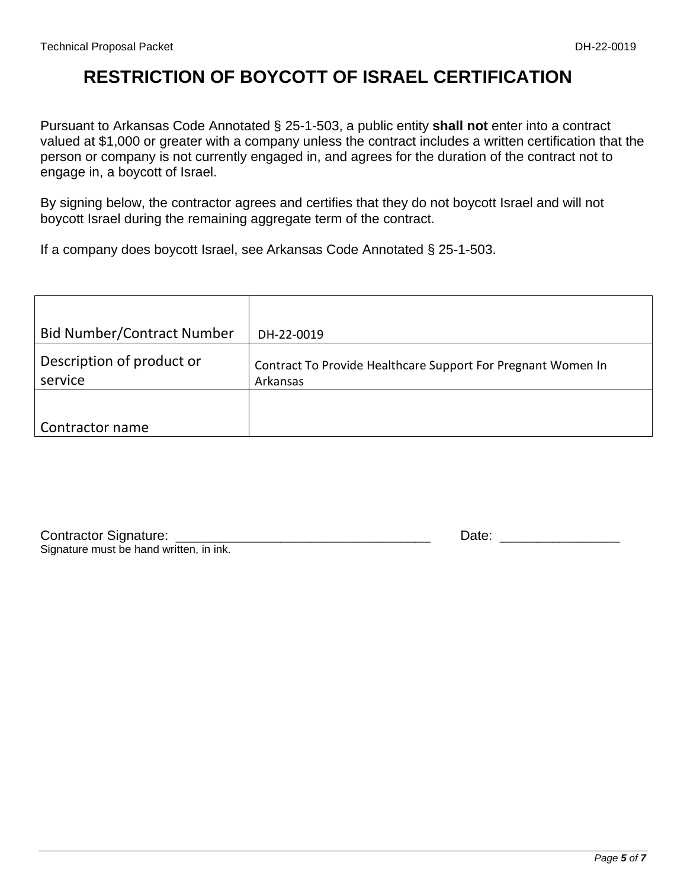### **RESTRICTION OF BOYCOTT OF ISRAEL CERTIFICATION**

Pursuant to Arkansas Code Annotated § 25-1-503, a public entity **shall not** enter into a contract valued at \$1,000 or greater with a company unless the contract includes a written certification that the person or company is not currently engaged in, and agrees for the duration of the contract not to engage in, a boycott of Israel.

By signing below, the contractor agrees and certifies that they do not boycott Israel and will not boycott Israel during the remaining aggregate term of the contract.

If a company does boycott Israel, see Arkansas Code Annotated § 25-1-503.

| <b>Bid Number/Contract Number</b>    | DH-22-0019                                                               |
|--------------------------------------|--------------------------------------------------------------------------|
| Description of product or<br>service | Contract To Provide Healthcare Support For Pregnant Women In<br>Arkansas |
| Contractor name                      |                                                                          |

| <b>Contractor Signature:</b>            |  |
|-----------------------------------------|--|
| Signature must be hand written, in ink. |  |

Contractor Signature: \_\_\_\_\_\_\_\_\_\_\_\_\_\_\_\_\_\_\_\_\_\_\_\_\_\_\_\_\_\_\_\_\_\_ Date: \_\_\_\_\_\_\_\_\_\_\_\_\_\_\_\_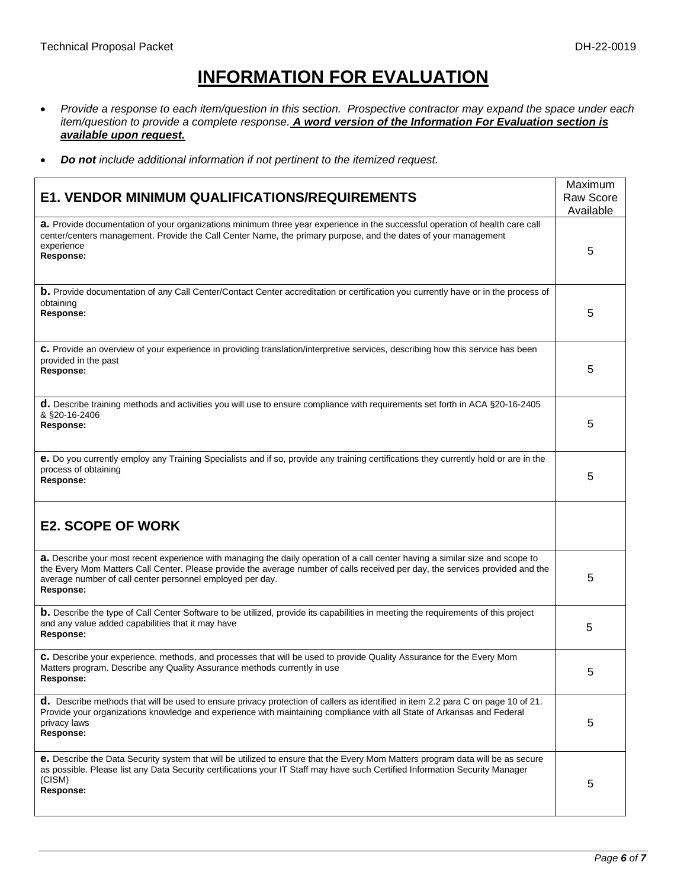## **INFORMATION FOR EVALUATION**

- Provide a response to each item/question in this section. Prospective contractor may expand the space under each *item/question to provide a complete response. A word version of the Information For Evaluation section is available upon request.*
- *Do not include additional information if not pertinent to the itemized request.*

|                                                                                                                                                                                                                                                                                                                                          | Maximum          |
|------------------------------------------------------------------------------------------------------------------------------------------------------------------------------------------------------------------------------------------------------------------------------------------------------------------------------------------|------------------|
| <b>E1. VENDOR MINIMUM QUALIFICATIONS/REQUIREMENTS</b>                                                                                                                                                                                                                                                                                    | <b>Raw Score</b> |
|                                                                                                                                                                                                                                                                                                                                          | Available        |
| a. Provide documentation of your organizations minimum three year experience in the successful operation of health care call<br>center/centers management. Provide the Call Center Name, the primary purpose, and the dates of your management<br>experience<br>Response:                                                                | 5                |
| <b>b.</b> Provide documentation of any Call Center/Contact Center accreditation or certification you currently have or in the process of<br>obtaining<br><b>Response:</b>                                                                                                                                                                | 5                |
| C. Provide an overview of your experience in providing translation/interpretive services, describing how this service has been<br>provided in the past<br>Response:                                                                                                                                                                      | 5                |
| d. Describe training methods and activities you will use to ensure compliance with requirements set forth in ACA §20-16-2405<br>& §20-16-2406<br><b>Response:</b>                                                                                                                                                                        | 5                |
| e. Do you currently employ any Training Specialists and if so, provide any training certifications they currently hold or are in the<br>process of obtaining<br><b>Response:</b>                                                                                                                                                         | 5                |
| <b>E2. SCOPE OF WORK</b>                                                                                                                                                                                                                                                                                                                 |                  |
| a. Describe your most recent experience with managing the daily operation of a call center having a similar size and scope to<br>the Every Mom Matters Call Center. Please provide the average number of calls received per day, the services provided and the<br>average number of call center personnel employed per day.<br>Response: | 5                |
| <b>b.</b> Describe the type of Call Center Software to be utilized, provide its capabilities in meeting the requirements of this project<br>and any value added capabilities that it may have<br><b>Response:</b>                                                                                                                        | 5                |
| C. Describe your experience, methods, and processes that will be used to provide Quality Assurance for the Every Mom<br>Matters program. Describe any Quality Assurance methods currently in use<br><b>Response:</b>                                                                                                                     | 5                |
| d. Describe methods that will be used to ensure privacy protection of callers as identified in item 2.2 para C on page 10 of 21.<br>Provide your organizations knowledge and experience with maintaining compliance with all State of Arkansas and Federal<br>privacy laws<br>Response:                                                  | 5                |
| e. Describe the Data Security system that will be utilized to ensure that the Every Mom Matters program data will be as secure<br>as possible. Please list any Data Security certifications your IT Staff may have such Certified Information Security Manager<br>(CISM)<br><b>Response:</b>                                             | 5                |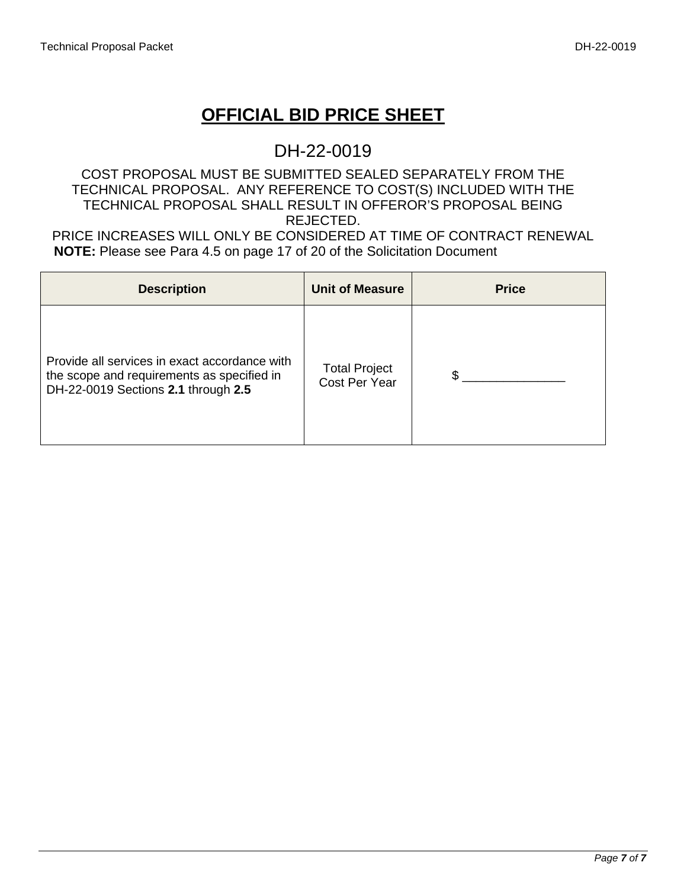## **OFFICIAL BID PRICE SHEET**

#### DH-22-0019

#### COST PROPOSAL MUST BE SUBMITTED SEALED SEPARATELY FROM THE TECHNICAL PROPOSAL. ANY REFERENCE TO COST(S) INCLUDED WITH THE TECHNICAL PROPOSAL SHALL RESULT IN OFFEROR'S PROPOSAL BEING REJECTED.

PRICE INCREASES WILL ONLY BE CONSIDERED AT TIME OF CONTRACT RENEWAL **NOTE:** Please see Para 4.5 on page 17 of 20 of the Solicitation Document

| <b>Description</b>                                                                                                                 | <b>Unit of Measure</b>                | <b>Price</b> |
|------------------------------------------------------------------------------------------------------------------------------------|---------------------------------------|--------------|
| Provide all services in exact accordance with<br>the scope and requirements as specified in<br>DH-22-0019 Sections 2.1 through 2.5 | <b>Total Project</b><br>Cost Per Year |              |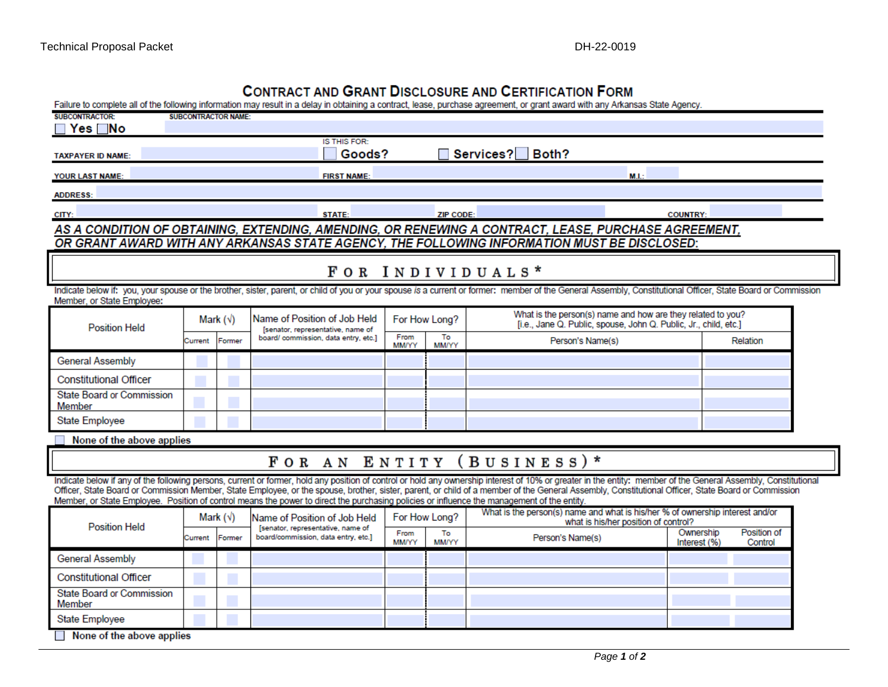#### CONTRACT AND GRANT DISCLOSURE AND CERTIFICATION FORM

| Failure to complete all of the following information may result in a delay in obtaining a contract, lease, purchase agreement, or grant award with any Arkansas State Agency.                                                                                                                                                                                                                                                                                                                                                                                       |                           |                  |                                                                          |                      |                    |                                                                                                                                                                                                              |                           |                        |
|---------------------------------------------------------------------------------------------------------------------------------------------------------------------------------------------------------------------------------------------------------------------------------------------------------------------------------------------------------------------------------------------------------------------------------------------------------------------------------------------------------------------------------------------------------------------|---------------------------|------------------|--------------------------------------------------------------------------|----------------------|--------------------|--------------------------------------------------------------------------------------------------------------------------------------------------------------------------------------------------------------|---------------------------|------------------------|
| SURCONTRACTOR-<br><b>SURCONTRACTOR NAME:</b><br>$Yes \Box No$                                                                                                                                                                                                                                                                                                                                                                                                                                                                                                       |                           |                  |                                                                          |                      |                    |                                                                                                                                                                                                              |                           |                        |
|                                                                                                                                                                                                                                                                                                                                                                                                                                                                                                                                                                     | <b>IS THIS FOR:</b>       |                  |                                                                          |                      |                    |                                                                                                                                                                                                              |                           |                        |
| <b>TAXPAYER ID NAME:</b>                                                                                                                                                                                                                                                                                                                                                                                                                                                                                                                                            | Services? Both?<br>Goods? |                  |                                                                          |                      |                    |                                                                                                                                                                                                              |                           |                        |
| <b>YOUR LAST NAME:</b>                                                                                                                                                                                                                                                                                                                                                                                                                                                                                                                                              |                           |                  | <b>FIRST NAME:</b>                                                       |                      |                    | M.L:                                                                                                                                                                                                         |                           |                        |
| <b>ADDRESS:</b>                                                                                                                                                                                                                                                                                                                                                                                                                                                                                                                                                     |                           |                  |                                                                          |                      |                    |                                                                                                                                                                                                              |                           |                        |
| CITY:                                                                                                                                                                                                                                                                                                                                                                                                                                                                                                                                                               |                           |                  | <b>STATE:</b>                                                            |                      | <b>ZIP CODE:</b>   |                                                                                                                                                                                                              | <b>COUNTRY:</b>           |                        |
|                                                                                                                                                                                                                                                                                                                                                                                                                                                                                                                                                                     |                           |                  |                                                                          |                      |                    | AS A CONDITION OF OBTAINING, EXTENDING, AMENDING, OR RENEWING A CONTRACT, LEASE, PURCHASE AGREEMENT,                                                                                                         |                           |                        |
|                                                                                                                                                                                                                                                                                                                                                                                                                                                                                                                                                                     |                           |                  |                                                                          |                      |                    | OR GRANT AWARD WITH ANY ARKANSAS STATE AGENCY, THE FOLLOWING INFORMATION MUST BE DISCLOSED:                                                                                                                  |                           |                        |
|                                                                                                                                                                                                                                                                                                                                                                                                                                                                                                                                                                     |                           |                  |                                                                          |                      |                    | FOR INDIVIDUALS*                                                                                                                                                                                             |                           |                        |
| Member, or State Employee:                                                                                                                                                                                                                                                                                                                                                                                                                                                                                                                                          |                           |                  |                                                                          |                      |                    | Indicate below if: you, your spouse or the brother, sister, parent, or child of you or your spouse is a current or former: member of the General Assembly, Constitutional Officer, State Board or Commission |                           |                        |
| <b>Position Held</b>                                                                                                                                                                                                                                                                                                                                                                                                                                                                                                                                                |                           | Mark $(\sqrt{})$ | Name of Position of Job Held<br>[senator, representative, name of        |                      | For How Long?      | What is the person(s) name and how are they related to you?<br>[i.e., Jane Q. Public, spouse, John Q. Public, Jr., child, etc.]                                                                              |                           |                        |
|                                                                                                                                                                                                                                                                                                                                                                                                                                                                                                                                                                     | Current                   | Former           | board/ commission, data entry, etc.]                                     | From<br><b>MM/YY</b> | To<br><b>MM/YY</b> | Person's Name(s)                                                                                                                                                                                             | Relation                  |                        |
| General Assembly                                                                                                                                                                                                                                                                                                                                                                                                                                                                                                                                                    |                           |                  |                                                                          |                      |                    |                                                                                                                                                                                                              |                           |                        |
| <b>Constitutional Officer</b>                                                                                                                                                                                                                                                                                                                                                                                                                                                                                                                                       |                           |                  |                                                                          |                      |                    |                                                                                                                                                                                                              |                           |                        |
| <b>State Board or Commission</b><br>Member                                                                                                                                                                                                                                                                                                                                                                                                                                                                                                                          |                           |                  |                                                                          |                      |                    |                                                                                                                                                                                                              |                           |                        |
| <b>State Employee</b>                                                                                                                                                                                                                                                                                                                                                                                                                                                                                                                                               |                           |                  |                                                                          |                      |                    |                                                                                                                                                                                                              |                           |                        |
| None of the above applies                                                                                                                                                                                                                                                                                                                                                                                                                                                                                                                                           |                           |                  |                                                                          |                      |                    |                                                                                                                                                                                                              |                           |                        |
|                                                                                                                                                                                                                                                                                                                                                                                                                                                                                                                                                                     |                           |                  |                                                                          |                      |                    | FOR AN ENTITY (BUSINESS)*                                                                                                                                                                                    |                           |                        |
| Indicate below if any of the following persons, current or former, hold any position of control or hold any ownership interest of 10% or greater in the entity: member of the General Assembly, Constitutional<br>Officer, State Board or Commission Member, State Employee, or the spouse, brother, sister, parent, or child of a member of the General Assembly, Constitutional Officer, State Board or Commission<br>Member, or State Employee. Position of control means the power to direct the purchasing policies or influence the management of the entity. |                           |                  |                                                                          |                      |                    |                                                                                                                                                                                                              |                           |                        |
| <b>Position Held</b>                                                                                                                                                                                                                                                                                                                                                                                                                                                                                                                                                |                           | Mark $(\sqrt{})$ | Name of Position of Job Held                                             |                      | For How Long?      | What is the person(s) name and what is his/her % of ownership interest and/or<br>what is his/her position of control?                                                                                        |                           |                        |
|                                                                                                                                                                                                                                                                                                                                                                                                                                                                                                                                                                     | Current                   | Former           | [senator, representative, name of<br>board/commission, data entry, etc.] | From<br><b>MM/YY</b> | To<br>MM/YY        | Person's Name(s)                                                                                                                                                                                             | Ownership<br>Interest (%) | Position of<br>Control |
| <b>General Assembly</b>                                                                                                                                                                                                                                                                                                                                                                                                                                                                                                                                             |                           |                  |                                                                          |                      |                    |                                                                                                                                                                                                              |                           |                        |
| <b>Constitutional Officer</b>                                                                                                                                                                                                                                                                                                                                                                                                                                                                                                                                       |                           |                  |                                                                          |                      |                    |                                                                                                                                                                                                              |                           |                        |
| <b>State Board or Commission</b><br>Member                                                                                                                                                                                                                                                                                                                                                                                                                                                                                                                          |                           |                  |                                                                          |                      |                    |                                                                                                                                                                                                              |                           |                        |
| State Employee                                                                                                                                                                                                                                                                                                                                                                                                                                                                                                                                                      |                           |                  |                                                                          |                      |                    |                                                                                                                                                                                                              |                           |                        |
|                                                                                                                                                                                                                                                                                                                                                                                                                                                                                                                                                                     | None of the above applies |                  |                                                                          |                      |                    |                                                                                                                                                                                                              |                           |                        |